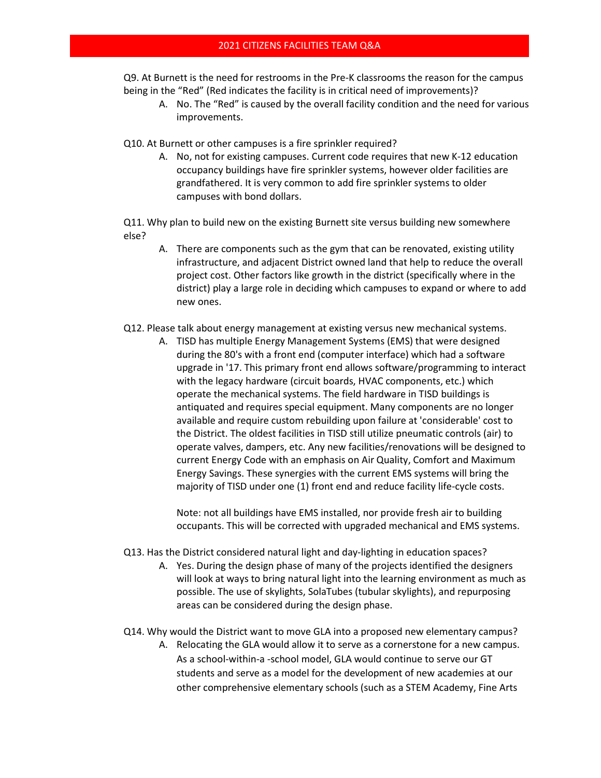Q9. At Burnett is the need for restrooms in the Pre-K classrooms the reason for the campus being in the "Red" (Red indicates the facility is in critical need of improvements)?

A. No. The "Red" is caused by the overall facility condition and the need for various improvements.

Q10. At Burnett or other campuses is a fire sprinkler required?

A. No, not for existing campuses. Current code requires that new K-12 education occupancy buildings have fire sprinkler systems, however older facilities are grandfathered. It is very common to add fire sprinkler systems to older campuses with bond dollars.

Q11. Why plan to build new on the existing Burnett site versus building new somewhere else?

- A. There are components such as the gym that can be renovated, existing utility infrastructure, and adjacent District owned land that help to reduce the overall project cost. Other factors like growth in the district (specifically where in the district) play a large role in deciding which campuses to expand or where to add new ones.
- Q12. Please talk about energy management at existing versus new mechanical systems.
	- A. TISD has multiple Energy Management Systems (EMS) that were designed during the 80's with a front end (computer interface) which had a software upgrade in '17. This primary front end allows software/programming to interact with the legacy hardware (circuit boards, HVAC components, etc.) which operate the mechanical systems. The field hardware in TISD buildings is antiquated and requires special equipment. Many components are no longer available and require custom rebuilding upon failure at 'considerable' cost to the District. The oldest facilities in TISD still utilize pneumatic controls (air) to operate valves, dampers, etc. Any new facilities/renovations will be designed to current Energy Code with an emphasis on Air Quality, Comfort and Maximum Energy Savings. These synergies with the current EMS systems will bring the majority of TISD under one (1) front end and reduce facility life-cycle costs.

Note: not all buildings have EMS installed, nor provide fresh air to building occupants. This will be corrected with upgraded mechanical and EMS systems.

- Q13. Has the District considered natural light and day-lighting in education spaces?
	- A. Yes. During the design phase of many of the projects identified the designers will look at ways to bring natural light into the learning environment as much as possible. The use of skylights, SolaTubes (tubular skylights), and repurposing areas can be considered during the design phase.

Q14. Why would the District want to move GLA into a proposed new elementary campus?

A. Relocating the GLA would allow it to serve as a cornerstone for a new campus. As a school-within-a -school model, GLA would continue to serve our GT students and serve as a model for the development of new academies at our other comprehensive elementary schools (such as a STEM Academy, Fine Arts